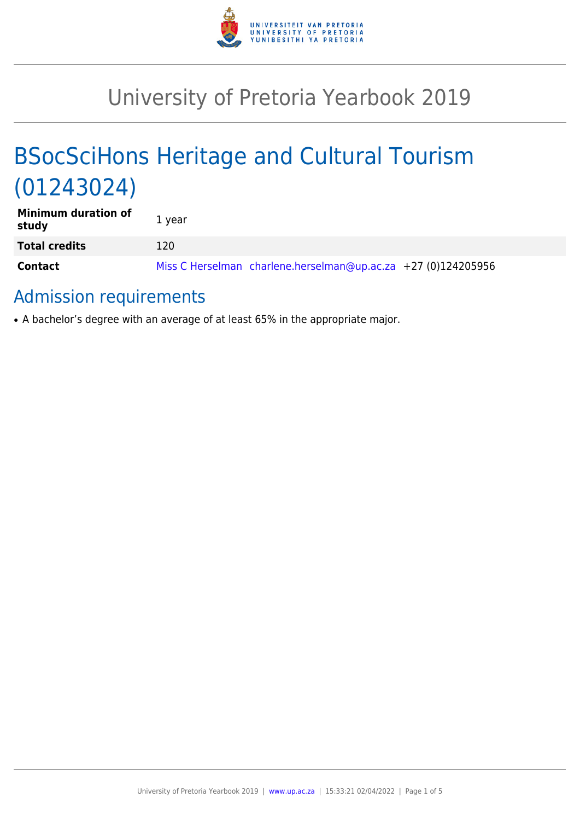

# University of Pretoria Yearbook 2019

# BSocSciHons Heritage and Cultural Tourism (01243024)

| <b>Minimum duration of</b><br>study | 1 year                                                        |
|-------------------------------------|---------------------------------------------------------------|
| <b>Total credits</b>                | 120                                                           |
| <b>Contact</b>                      | Miss C Herselman charlene.herselman@up.ac.za +27 (0)124205956 |

# Admission requirements

• A bachelor's degree with an average of at least 65% in the appropriate major.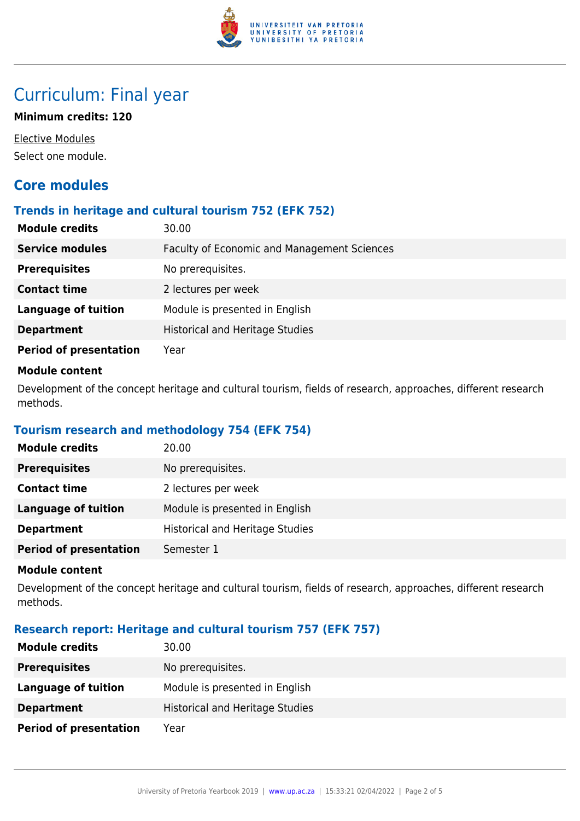

# Curriculum: Final year

## **Minimum credits: 120**

Elective Modules Select one module.

# **Core modules**

## **Trends in heritage and cultural tourism 752 (EFK 752)**

| <b>Module credits</b>         | 30.00                                              |
|-------------------------------|----------------------------------------------------|
| <b>Service modules</b>        | <b>Faculty of Economic and Management Sciences</b> |
| <b>Prerequisites</b>          | No prerequisites.                                  |
| <b>Contact time</b>           | 2 lectures per week                                |
| <b>Language of tuition</b>    | Module is presented in English                     |
| <b>Department</b>             | <b>Historical and Heritage Studies</b>             |
| <b>Period of presentation</b> | Year                                               |

#### **Module content**

Development of the concept heritage and cultural tourism, fields of research, approaches, different research methods.

# **Tourism research and methodology 754 (EFK 754)**

| <b>Module credits</b>         | 20.00                                  |
|-------------------------------|----------------------------------------|
| <b>Prerequisites</b>          | No prerequisites.                      |
| <b>Contact time</b>           | 2 lectures per week                    |
| Language of tuition           | Module is presented in English         |
| <b>Department</b>             | <b>Historical and Heritage Studies</b> |
| <b>Period of presentation</b> | Semester 1                             |

#### **Module content**

Development of the concept heritage and cultural tourism, fields of research, approaches, different research methods.

# **Research report: Heritage and cultural tourism 757 (EFK 757)**

| <b>Module credits</b>         | 30.00                                  |
|-------------------------------|----------------------------------------|
| <b>Prerequisites</b>          | No prerequisites.                      |
| Language of tuition           | Module is presented in English         |
| <b>Department</b>             | <b>Historical and Heritage Studies</b> |
| <b>Period of presentation</b> | Year                                   |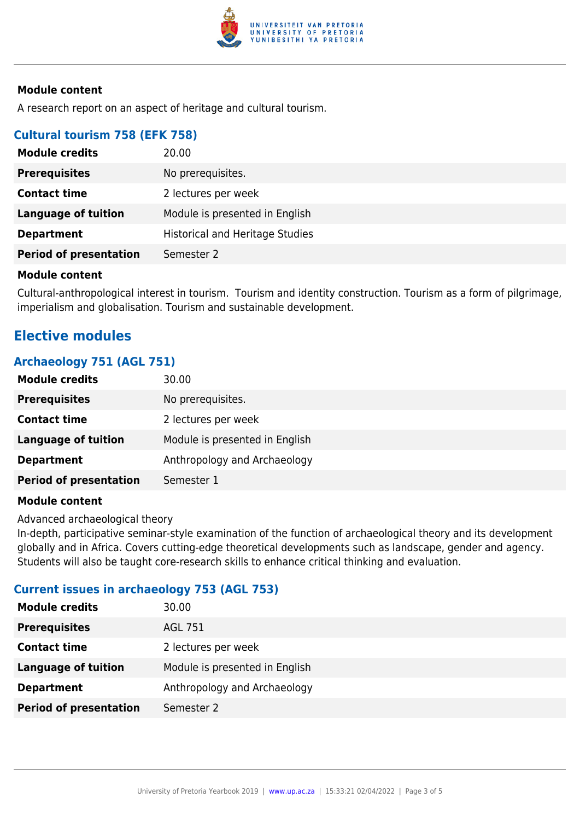

#### **Module content**

A research report on an aspect of heritage and cultural tourism.

# **Cultural tourism 758 (EFK 758)**

| <b>Module credits</b>         | 20.00                                  |
|-------------------------------|----------------------------------------|
| <b>Prerequisites</b>          | No prerequisites.                      |
| <b>Contact time</b>           | 2 lectures per week                    |
| Language of tuition           | Module is presented in English         |
| <b>Department</b>             | <b>Historical and Heritage Studies</b> |
| <b>Period of presentation</b> | Semester 2                             |

#### **Module content**

Cultural-anthropological interest in tourism. Tourism and identity construction. Tourism as a form of pilgrimage, imperialism and globalisation. Tourism and sustainable development.

# **Elective modules**

## **Archaeology 751 (AGL 751)**

| <b>Module credits</b>         | 30.00                          |
|-------------------------------|--------------------------------|
| <b>Prerequisites</b>          | No prerequisites.              |
| <b>Contact time</b>           | 2 lectures per week            |
| Language of tuition           | Module is presented in English |
| <b>Department</b>             | Anthropology and Archaeology   |
| <b>Period of presentation</b> | Semester 1                     |

#### **Module content**

Advanced archaeological theory

In-depth, participative seminar-style examination of the function of archaeological theory and its development globally and in Africa. Covers cutting-edge theoretical developments such as landscape, gender and agency. Students will also be taught core-research skills to enhance critical thinking and evaluation.

# **Current issues in archaeology 753 (AGL 753)**

| <b>Module credits</b>         | 30.00                          |
|-------------------------------|--------------------------------|
| <b>Prerequisites</b>          | AGL 751                        |
| <b>Contact time</b>           | 2 lectures per week            |
| <b>Language of tuition</b>    | Module is presented in English |
| <b>Department</b>             | Anthropology and Archaeology   |
| <b>Period of presentation</b> | Semester 2                     |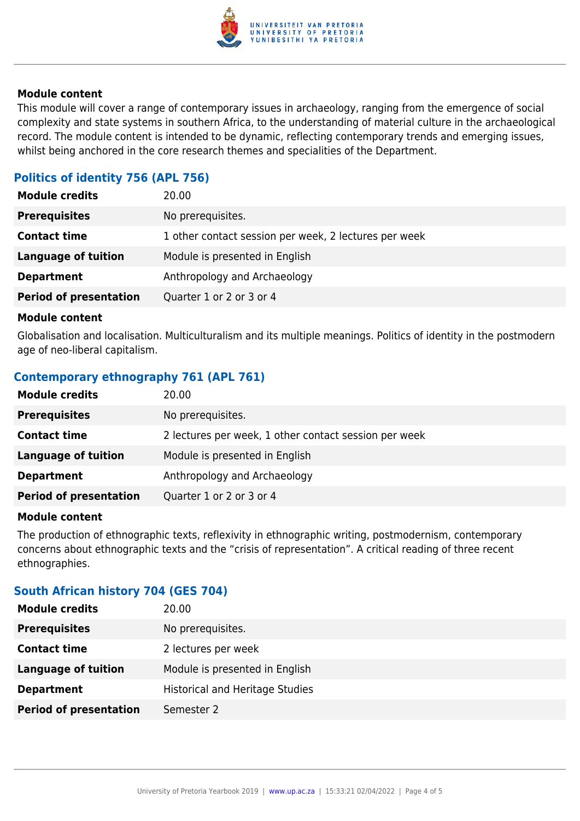

#### **Module content**

This module will cover a range of contemporary issues in archaeology, ranging from the emergence of social complexity and state systems in southern Africa, to the understanding of material culture in the archaeological record. The module content is intended to be dynamic, reflecting contemporary trends and emerging issues, whilst being anchored in the core research themes and specialities of the Department.

# **Politics of identity 756 (APL 756)**

| <b>Module credits</b>         | 20.00                                                 |
|-------------------------------|-------------------------------------------------------|
| <b>Prerequisites</b>          | No prerequisites.                                     |
| <b>Contact time</b>           | 1 other contact session per week, 2 lectures per week |
| <b>Language of tuition</b>    | Module is presented in English                        |
| <b>Department</b>             | Anthropology and Archaeology                          |
| <b>Period of presentation</b> | Quarter 1 or 2 or 3 or 4                              |
|                               |                                                       |

#### **Module content**

Globalisation and localisation. Multiculturalism and its multiple meanings. Politics of identity in the postmodern age of neo-liberal capitalism.

# **Contemporary ethnography 761 (APL 761)**

| <b>Module credits</b>         | 20.00                                                 |
|-------------------------------|-------------------------------------------------------|
| <b>Prerequisites</b>          | No prerequisites.                                     |
| <b>Contact time</b>           | 2 lectures per week, 1 other contact session per week |
| <b>Language of tuition</b>    | Module is presented in English                        |
| <b>Department</b>             | Anthropology and Archaeology                          |
| <b>Period of presentation</b> | Quarter 1 or 2 or 3 or 4                              |

#### **Module content**

The production of ethnographic texts, reflexivity in ethnographic writing, postmodernism, contemporary concerns about ethnographic texts and the "crisis of representation". A critical reading of three recent ethnographies.

#### **South African history 704 (GES 704)**

| <b>Module credits</b>         | 20.00                                  |
|-------------------------------|----------------------------------------|
| <b>Prerequisites</b>          | No prerequisites.                      |
| <b>Contact time</b>           | 2 lectures per week                    |
| <b>Language of tuition</b>    | Module is presented in English         |
| <b>Department</b>             | <b>Historical and Heritage Studies</b> |
| <b>Period of presentation</b> | Semester 2                             |
|                               |                                        |